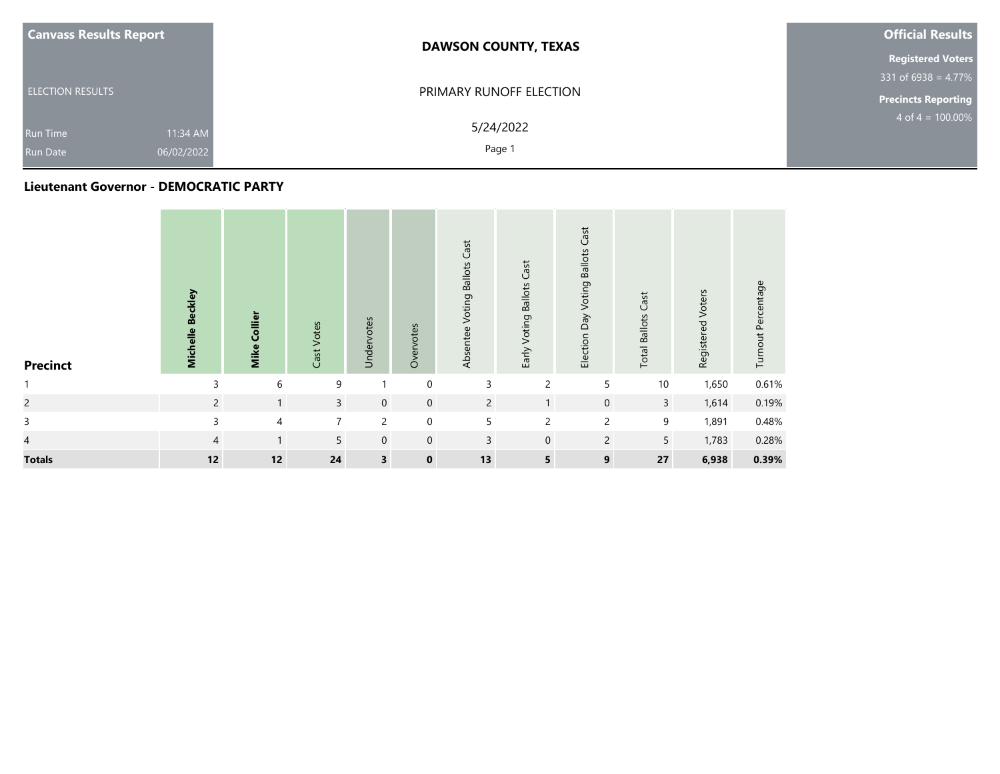| <b>Canvass Results Report</b>                                | <b>DAWSON COUNTY, TEXAS</b> | <b>Official Results</b>    |  |  |
|--------------------------------------------------------------|-----------------------------|----------------------------|--|--|
|                                                              |                             | <b>Registered Voters</b>   |  |  |
|                                                              |                             | $331$ of 6938 = 4.77%      |  |  |
| <b>ELECTION RESULTS</b>                                      | PRIMARY RUNOFF ELECTION     | <b>Precincts Reporting</b> |  |  |
| 11:34 AM<br><b>Run Time</b><br>06/02/2022<br><b>Run Date</b> | 5/24/2022<br>Page 1         | $4$ of $4 = 100.00\%$      |  |  |
|                                                              |                             |                            |  |  |

#### **Lieutenant Governor - DEMOCRATIC PARTY**

| <b>Precinct</b> | Michelle Beckley | Collier<br><b>Mike</b> | Cast Votes     | Undervotes              | Overvotes   | Voting Ballots Cast<br>Absentee | Early Voting Ballots Cast | Cast<br>Election Day Voting Ballots | <b>Total Ballots Cast</b> | Registered Voters | Turnout Percentage |
|-----------------|------------------|------------------------|----------------|-------------------------|-------------|---------------------------------|---------------------------|-------------------------------------|---------------------------|-------------------|--------------------|
| $\mathbf{1}$    | 3                | 6                      | 9              |                         | $\mathbf 0$ | 3                               | $\overline{c}$            | 5                                   | 10                        | 1,650             | 0.61%              |
| $\overline{c}$  | $\overline{2}$   | $\mathbf{1}$           | $\overline{3}$ | $\mathbf 0$             | $\mathbf 0$ | $\overline{2}$                  | $\mathbf{1}$              | $\mathbf 0$                         | $\overline{3}$            | 1,614             | 0.19%              |
| 3               | 3                | 4                      | $\overline{7}$ | $\overline{c}$          | $\mathbf 0$ | 5                               | $\overline{c}$            | $\overline{2}$                      | 9                         | 1,891             | 0.48%              |
| $\overline{4}$  | $\overline{4}$   | $\mathbf{1}$           | 5              | $\mathbf 0$             | $\mathbf 0$ | 3                               | $\mathbf 0$               | $\overline{2}$                      | 5                         | 1,783             | 0.28%              |
| <b>Totals</b>   | 12               | 12                     | 24             | $\overline{\mathbf{3}}$ | $\mathbf 0$ | 13                              | $5\overline{)}$           | 9                                   | 27                        | 6,938             | 0.39%              |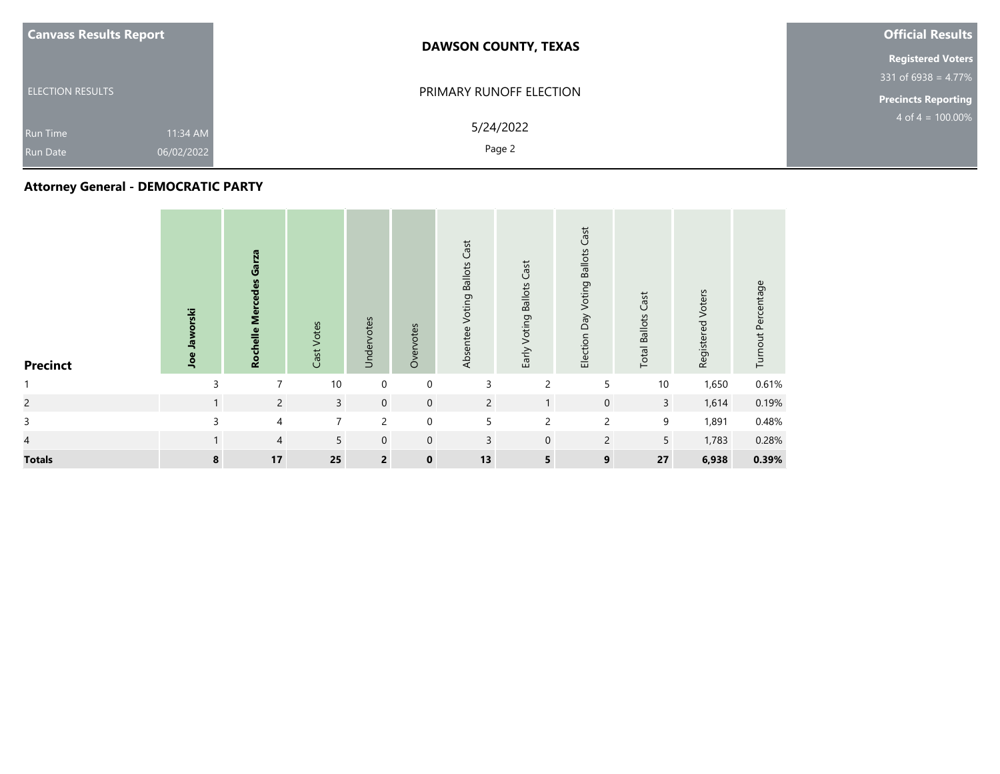| <b>Canvass Results Report</b><br><b>DAWSON COUNTY, TEXAS</b>                        | <b>Official Results</b>    |
|-------------------------------------------------------------------------------------|----------------------------|
|                                                                                     | <b>Registered Voters</b>   |
|                                                                                     | $331$ of 6938 = 4.77%      |
| PRIMARY RUNOFF ELECTION<br><b>ELECTION RESULTS</b>                                  | <b>Precincts Reporting</b> |
| 5/24/2022<br>11:34 AM<br><b>Run Time</b><br>Page 2<br>06/02/2022<br><b>Run Date</b> | $4$ of $4 = 100.00\%$      |

# **Attorney General - DEMOCRATIC PARTY**

| <b>Precinct</b> | Joe Jaworski | Garza<br><b>Rochelle Mercedes</b> | Cast Votes     | Undervotes     | Overvotes   | Voting Ballots Cast<br>Absentee | Early Voting Ballots Cast | Cast<br>Election Day Voting Ballots | <b>Total Ballots Cast</b> | Registered Voters | Turnout Percentage |
|-----------------|--------------|-----------------------------------|----------------|----------------|-------------|---------------------------------|---------------------------|-------------------------------------|---------------------------|-------------------|--------------------|
|                 | 3            | 7                                 | 10             | $\mathbf 0$    | $\mathbf 0$ | 3                               | $\overline{c}$            | 5                                   | $10$                      | 1,650             | 0.61%              |
| $\overline{c}$  | 1            | $\overline{2}$                    | $\overline{3}$ | $\mathbf{0}$   | $\mathbf 0$ | $\overline{2}$                  | $\mathbf{1}$              | $\mathbf 0$                         | $\overline{3}$            | 1,614             | 0.19%              |
| 3               | 3            | $\overline{4}$                    | 7              | $\overline{c}$ | $\mathbf 0$ | 5                               | $\overline{c}$            | $\overline{c}$                      | 9                         | 1,891             | 0.48%              |
| 4               | $\mathbf{1}$ | $\overline{4}$                    | 5              | $\mathbf 0$    | $\mathbf 0$ | $\overline{3}$                  | $\mathbf 0$               | $\overline{2}$                      | 5                         | 1,783             | 0.28%              |
| <b>Totals</b>   | 8            | $17\,$                            | 25             | $\overline{2}$ | $\mathbf 0$ | 13                              | $5\overline{)}$           | 9                                   | 27                        | 6,938             | 0.39%              |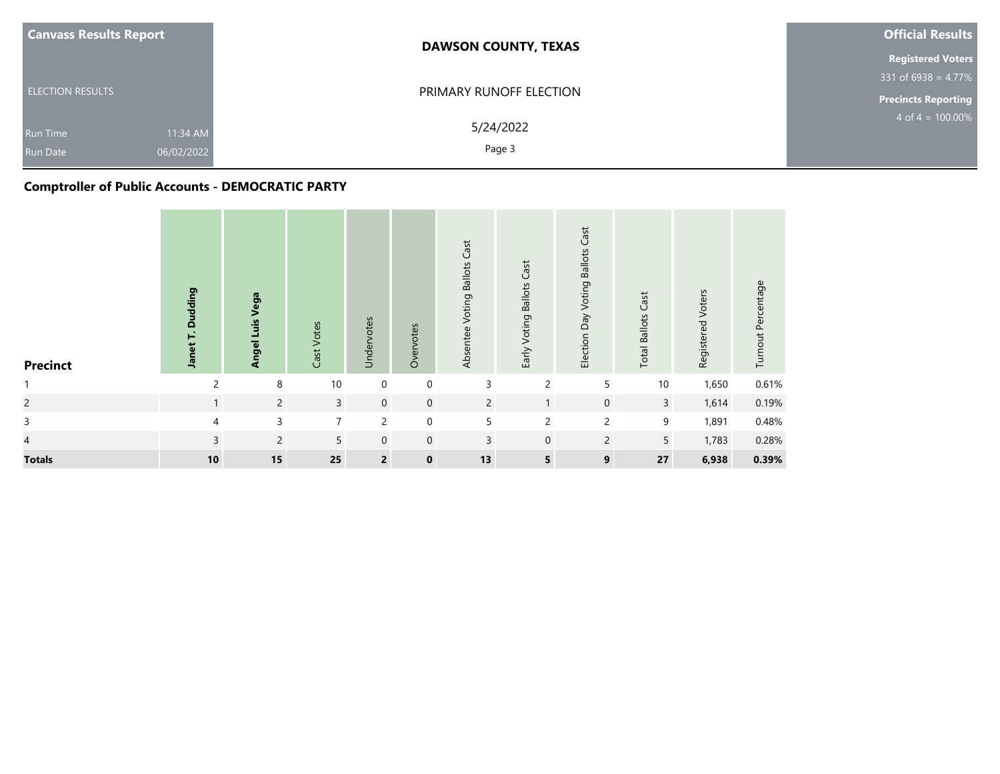| <b>Canvass Results Report</b>                                | <b>DAWSON COUNTY, TEXAS</b> | <b>Official Results</b>    |
|--------------------------------------------------------------|-----------------------------|----------------------------|
|                                                              |                             | <b>Registered Voters</b>   |
|                                                              |                             | $331$ of 6938 = 4.77%      |
| <b>ELECTION RESULTS</b>                                      | PRIMARY RUNOFF ELECTION     | <b>Precincts Reporting</b> |
| 11:34 AM<br><b>Run Time</b><br>06/02/2022<br><b>Run Date</b> | 5/24/2022<br>Page 3         | $4$ of $4 = 100.00\%$      |

# **Comptroller of Public Accounts - DEMOCRATIC PARTY**

| <b>Precinct</b> | Janet T. Dudding | Vega<br>Angel Luis | Cast Votes     | Undervotes     | Overvotes   | Voting Ballots Cast<br>Absentee | Early Voting Ballots Cast | Cast<br>Election Day Voting Ballots | <b>Total Ballots Cast</b> | Registered Voters | Turnout Percentage |
|-----------------|------------------|--------------------|----------------|----------------|-------------|---------------------------------|---------------------------|-------------------------------------|---------------------------|-------------------|--------------------|
| $\mathbf{1}$    | $\overline{c}$   | 8                  | 10             | $\mathbf 0$    | $\mathbf 0$ | 3                               | $\overline{c}$            | 5                                   | 10                        | 1,650             | 0.61%              |
| $\overline{c}$  | 1                | $\overline{2}$     | $\overline{3}$ | $\mathbf 0$    | $\mathbf 0$ | $\overline{2}$                  | $\mathbf{1}$              | $\mathsf{O}\xspace$                 | $\overline{3}$            | 1,614             | 0.19%              |
| 3               | 4                | 3                  | $\overline{7}$ | $\overline{c}$ | $\mathbf 0$ | 5                               | $\overline{c}$            | $\overline{2}$                      | 9                         | 1,891             | 0.48%              |
| $\overline{4}$  | $\overline{3}$   | $\overline{2}$     | 5              | $\mathbf 0$    | $\mathbf 0$ | 3                               | $\mathbf 0$               | $\overline{2}$                      | 5                         | 1,783             | 0.28%              |
| <b>Totals</b>   | $10\,$           | 15                 | 25             | $\overline{2}$ | $\mathbf 0$ | 13                              | $5\overline{)}$           | 9                                   | 27                        | 6,938             | 0.39%              |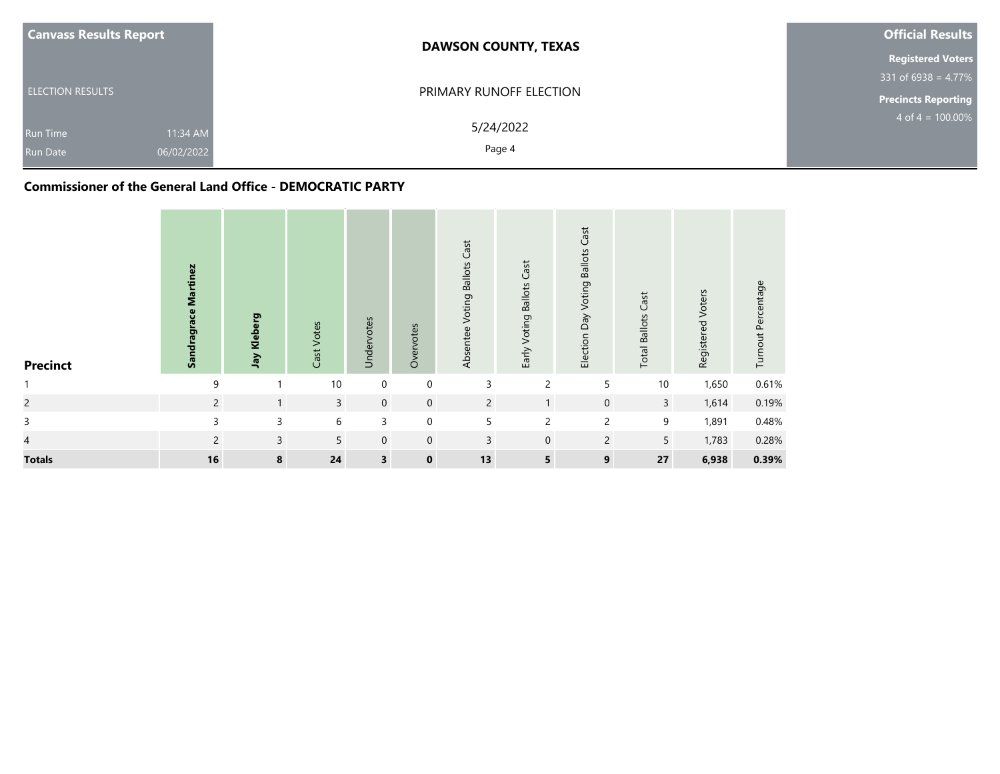| <b>Canvass Results Report</b>                                | <b>DAWSON COUNTY, TEXAS</b> | <b>Official Results</b>    |
|--------------------------------------------------------------|-----------------------------|----------------------------|
|                                                              |                             | <b>Registered Voters</b>   |
|                                                              |                             | $331$ of 6938 = 4.77%      |
| <b>ELECTION RESULTS</b>                                      | PRIMARY RUNOFF ELECTION     | <b>Precincts Reporting</b> |
| 11:34 AM<br><b>Run Time</b><br>06/02/2022<br><b>Run Date</b> | 5/24/2022<br>Page 4         | $4$ of $4 = 100.00\%$      |

### **Commissioner of the General Land Office - DEMOCRATIC PARTY**

| <b>Precinct</b> | Sandragrace Martinez | Jay Kleberg  | Cast Votes     | Undervotes              | Overvotes   | Voting Ballots Cast<br>Absentee | Early Voting Ballots Cast | Election Day Voting Ballots Cast | <b>Total Ballots Cast</b> | Registered Voters | Turnout Percentage |
|-----------------|----------------------|--------------|----------------|-------------------------|-------------|---------------------------------|---------------------------|----------------------------------|---------------------------|-------------------|--------------------|
|                 | 9                    | ٠            | 10             | $\mathbf 0$             | 0           | 3                               | $\overline{c}$            | 5                                | 10                        | 1,650             | 0.61%              |
| $\overline{c}$  | $\overline{2}$       | $\mathbf{1}$ | $\overline{3}$ | $\mathbf 0$             | $\mathbf 0$ | $\overline{2}$                  | $\mathbf{1}$              | $\mathbf 0$                      | $\mathbf{3}$              | 1,614             | 0.19%              |
| $\mathsf{3}$    | 3                    | 3            | 6              | 3                       | $\mathbf 0$ | 5                               | $\overline{c}$            | $\overline{c}$                   | 9                         | 1,891             | 0.48%              |
| $\overline{4}$  | $\overline{2}$       | $\mathsf{3}$ | 5              | $\mathbf 0$             | $\mathbf 0$ | 3                               | $\mathbf 0$               | $\overline{2}$                   | 5                         | 1,783             | 0.28%              |
| <b>Totals</b>   | 16                   | 8            | 24             | $\overline{\mathbf{3}}$ | $\mathbf 0$ | 13                              | 5                         | $\boldsymbol{9}$                 | 27                        | 6,938             | 0.39%              |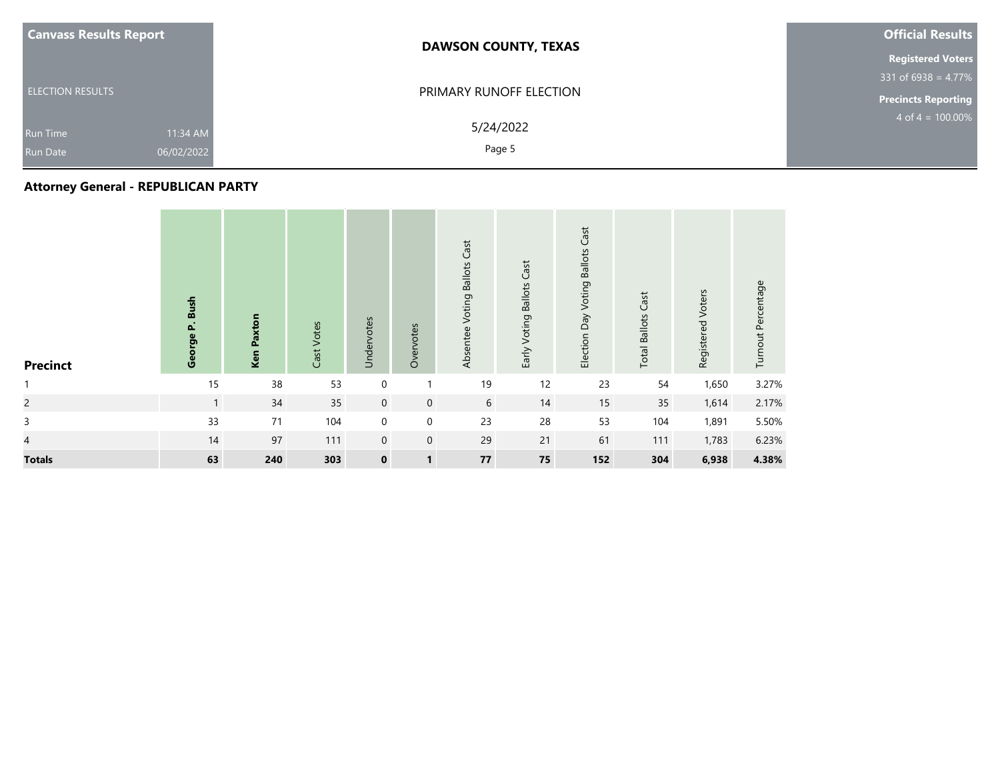| <b>Canvass Results Report</b>                                | <b>DAWSON COUNTY, TEXAS</b> | <b>Official Results</b>  |
|--------------------------------------------------------------|-----------------------------|--------------------------|
|                                                              |                             | <b>Registered Voters</b> |
|                                                              |                             | $331$ of 6938 = 4.77%    |
| <b>ELECTION RESULTS</b>                                      | PRIMARY RUNOFF ELECTION     | Precincts Reporting      |
| 11:34 AM<br><b>Run Time</b><br>06/02/2022<br><b>Run Date</b> | 5/24/2022<br>Page 5         | $4$ of $4 = 100.00\%$    |

# **Attorney General - REPUBLICAN PARTY**

| <b>Precinct</b> | George P. Bush | <b>Ken Paxton</b> | Cast Votes | Undervotes  | Overvotes      | <b>Voting Ballots Cast</b><br>Absentee | Early Voting Ballots Cast | Cast<br>Election Day Voting Ballots | <b>Total Ballots Cast</b> | Registered Voters | Turnout Percentage |
|-----------------|----------------|-------------------|------------|-------------|----------------|----------------------------------------|---------------------------|-------------------------------------|---------------------------|-------------------|--------------------|
| $\mathbf{1}$    | 15             | 38                | 53         | 0           |                | 19                                     | 12                        | 23                                  | 54                        | 1,650             | 3.27%              |
| $\overline{c}$  | $\mathbf{1}$   | 34                | 35         | $\mathbf 0$ | $\mathbf{0}$   | 6                                      | 14                        | 15                                  | 35                        | 1,614             | 2.17%              |
| $\mathsf{3}$    | 33             | 71                | 104        | $\mathbf 0$ | $\mathbf 0$    | 23                                     | 28                        | 53                                  | 104                       | 1,891             | 5.50%              |
| $\overline{4}$  | 14             | 97                | 111        | $\mathbf 0$ | $\mathbf{0}$   | 29                                     | 21                        | 61                                  | 111                       | 1,783             | 6.23%              |
| <b>Totals</b>   | 63             | 240               | 303        | $\mathbf 0$ | $\blacksquare$ | ${\bf 77}$                             | 75                        | 152                                 | 304                       | 6,938             | 4.38%              |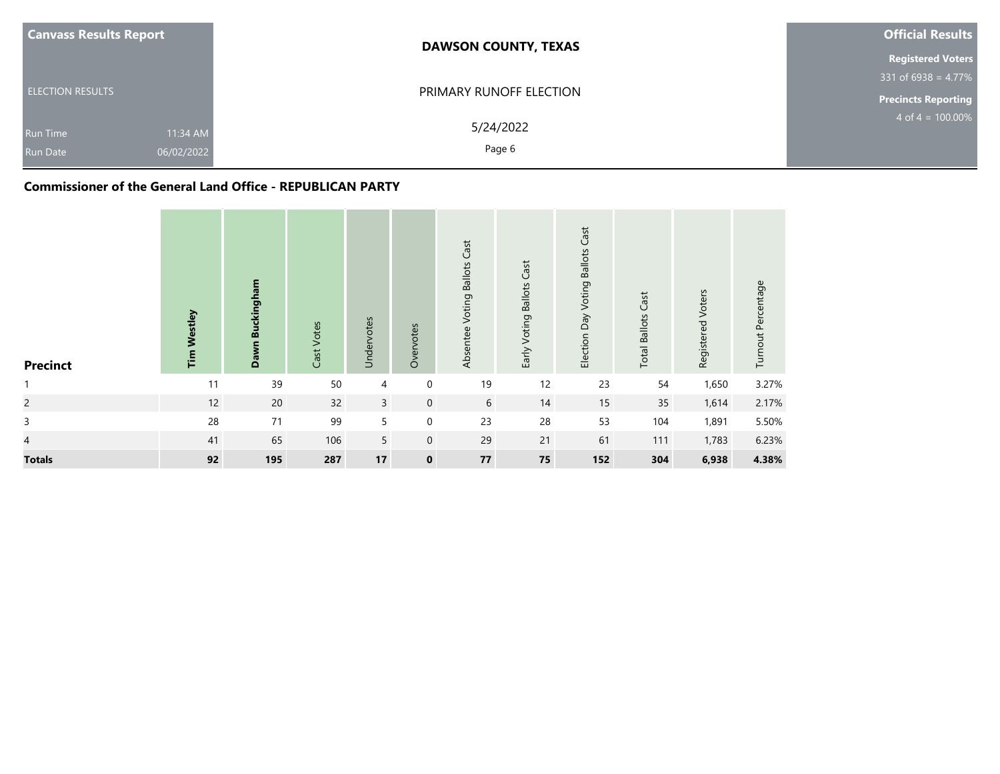| <b>Canvass Results Report</b>                                | <b>DAWSON COUNTY, TEXAS</b> | <b>Official Results</b>    |
|--------------------------------------------------------------|-----------------------------|----------------------------|
|                                                              |                             | <b>Registered Voters</b>   |
|                                                              |                             | $331$ of 6938 = 4.77%      |
| <b>ELECTION RESULTS</b>                                      | PRIMARY RUNOFF ELECTION     | <b>Precincts Reporting</b> |
| 11:34 AM<br><b>Run Time</b><br>06/02/2022<br><b>Run Date</b> | 5/24/2022<br>Page 6         | $4$ of $4 = 100.00\%$      |

## **Commissioner of the General Land Office - REPUBLICAN PARTY**

| <b>Precinct</b> | <b>Tim Westley</b> | Dawn Buckingham | Cast Votes | Undervotes     | Overvotes   | Absentee Voting Ballots Cast | Early Voting Ballots Cast | Election Day Voting Ballots Cast | <b>Total Ballots Cast</b> | Registered Voters | Turnout Percentage |
|-----------------|--------------------|-----------------|------------|----------------|-------------|------------------------------|---------------------------|----------------------------------|---------------------------|-------------------|--------------------|
| $\mathbf{1}$    | 11                 | 39              | 50         | 4              | 0           | 19                           | 12                        | 23                               | 54                        | 1,650             | 3.27%              |
| $\overline{c}$  | 12                 | 20              | 32         | $\overline{3}$ | $\mathbf 0$ | 6                            | 14                        | 15                               | 35                        | 1,614             | 2.17%              |
| 3               | 28                 | $71$            | 99         | 5              | $\mathbf 0$ | 23                           | 28                        | 53                               | 104                       | 1,891             | 5.50%              |
| $\overline{4}$  | 41                 | 65              | 106        | 5              | $\mathbf 0$ | 29                           | 21                        | 61                               | 111                       | 1,783             | 6.23%              |
| <b>Totals</b>   | 92                 | 195             | 287        | 17             | $\mathbf 0$ | ${\bf 77}$                   | 75                        | 152                              | 304                       | 6,938             | 4.38%              |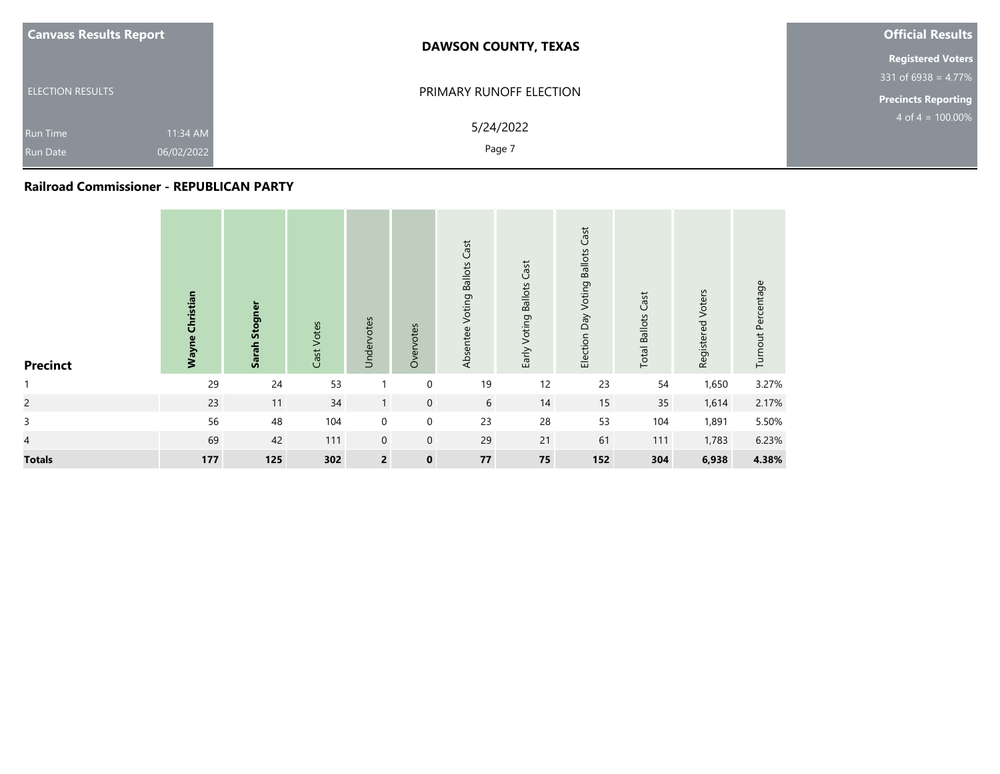| <b>Canvass Results Report</b>                    | <b>DAWSON COUNTY, TEXAS</b>     | <b>Official Results</b>    |
|--------------------------------------------------|---------------------------------|----------------------------|
|                                                  |                                 |                            |
|                                                  |                                 | $331$ of 6938 = 4.77%      |
| <b>ELECTION RESULTS</b>                          | PRIMARY RUNOFF ELECTION         | <b>Precincts Reporting</b> |
| <b>Run Time</b><br>06/02/2022<br><b>Run Date</b> | 5/24/2022<br>11:34 AM<br>Page 7 | $4$ of $4 = 100.00\%$      |
|                                                  |                                 |                            |

#### **Railroad Commissioner - REPUBLICAN PARTY**

| <b>Precinct</b> | <b>Wayne Christian</b> | Sarah Stogner | Cast Votes | Undervotes     | Overvotes    | <b>Voting Ballots Cast</b><br>Absentee | Early Voting Ballots Cast | Cast<br>Election Day Voting Ballots | <b>Total Ballots Cast</b> | Registered Voters | Turnout Percentage |
|-----------------|------------------------|---------------|------------|----------------|--------------|----------------------------------------|---------------------------|-------------------------------------|---------------------------|-------------------|--------------------|
| $\mathbf{1}$    | 29                     | 24            | 53         |                | 0            | 19                                     | 12                        | 23                                  | 54                        | 1,650             | 3.27%              |
| $\overline{c}$  | 23                     | 11            | 34         | $\mathbf{1}$   | $\mathbf 0$  | 6                                      | 14                        | 15                                  | 35                        | 1,614             | 2.17%              |
| $\mathsf{3}$    | 56                     | 48            | 104        | $\mathbf 0$    | $\mathbf 0$  | 23                                     | 28                        | 53                                  | 104                       | 1,891             | 5.50%              |
| $\overline{4}$  | 69                     | 42            | 111        | $\mathbf 0$    | $\mathbf{0}$ | 29                                     | 21                        | 61                                  | 111                       | 1,783             | 6.23%              |
| <b>Totals</b>   | $177$                  | 125           | 302        | $\overline{2}$ | $\mathbf 0$  | ${\bf 77}$                             | 75                        | 152                                 | 304                       | 6,938             | 4.38%              |